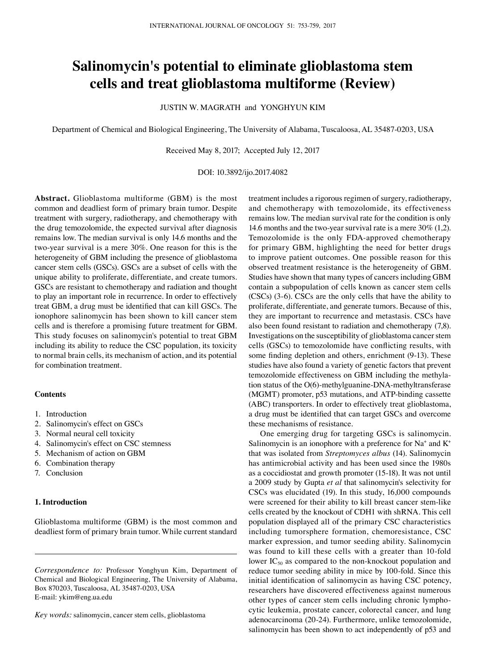# **Salinomycin's potential to eliminate glioblastoma stem cells and treat glioblastoma multiforme (Review)**

JUSTIN W. MAGRATH and YONGHYUN KIM

Department of Chemical and Biological Engineering, The University of Alabama, Tuscaloosa, AL 35487-0203, USA

Received May 8, 2017; Accepted July 12, 2017

DOI: 10.3892/ijo.2017.4082

**Abstract.** Glioblastoma multiforme (GBM) is the most common and deadliest form of primary brain tumor. Despite treatment with surgery, radiotherapy, and chemotherapy with the drug temozolomide, the expected survival after diagnosis remains low. The median survival is only 14.6 months and the two-year survival is a mere 30%. One reason for this is the heterogeneity of GBM including the presence of glioblastoma cancer stem cells (GSCs). GSCs are a subset of cells with the unique ability to proliferate, differentiate, and create tumors. GSCs are resistant to chemotherapy and radiation and thought to play an important role in recurrence. In order to effectively treat GBM, a drug must be identified that can kill GSCs. The ionophore salinomycin has been shown to kill cancer stem cells and is therefore a promising future treatment for GBM. This study focuses on salinomycin's potential to treat GBM including its ability to reduce the CSC population, its toxicity to normal brain cells, its mechanism of action, and its potential for combination treatment.

#### **Contents**

- 1. Introduction
- 2. Salinomycin's effect on GSCs
- 3. Normal neural cell toxicity
- 4. Salinomycin's effect on CSC stemness
- 5. Mechanism of action on GBM
- 6. Combination therapy
- 7. Conclusion

# **1. Introduction**

Glioblastoma multiforme (GBM) is the most common and deadliest form of primary brain tumor. While current standard

*Correspondence to:* Professor Yonghyun Kim, Department of Chemical and Biological Engineering, The University of Alabama, Box 870203, Tuscaloosa, AL 35487-0203, USA E-mail: ykim@eng.ua.edu

*Key words:* salinomycin, cancer stem cells, glioblastoma

treatment includes a rigorous regimen of surgery, radiotherapy, and chemotherapy with temozolomide, its effectiveness remains low. The median survival rate for the condition is only 14.6 months and the two-year survival rate is a mere 30% (1,2). Temozolomide is the only FDA-approved chemotherapy for primary GBM, highlighting the need for better drugs to improve patient outcomes. One possible reason for this observed treatment resistance is the heterogeneity of GBM. Studies have shown that many types of cancers including GBM contain a subpopulation of cells known as cancer stem cells (CSCs) (3-6). CSCs are the only cells that have the ability to proliferate, differentiate, and generate tumors. Because of this, they are important to recurrence and metastasis. CSCs have also been found resistant to radiation and chemotherapy (7,8). Investigations on the susceptibility of glioblastoma cancer stem cells (GSCs) to temozolomide have conflicting results, with some finding depletion and others, enrichment (9-13). These studies have also found a variety of genetic factors that prevent temozolomide effectiveness on GBM including the methylation status of the O(6)-methylguanine-DNA-methyltransferase (MGMT) promoter, p53 mutations, and ATP-binding cassette (ABC) transporters. In order to effectively treat glioblastoma, a drug must be identified that can target GSCs and overcome these mechanisms of resistance.

One emerging drug for targeting GSCs is salinomycin. Salinomycin is an ionophore with a preference for  $Na^+$  and  $K^+$ that was isolated from *Streptomyces albus* (14). Salinomycin has antimicrobial activity and has been used since the 1980s as a coccidiostat and growth promoter (15-18). It was not until a 2009 study by Gupta *et al* that salinomycin's selectivity for CSCs was elucidated (19). In this study, 16,000 compounds were screened for their ability to kill breast cancer stem-like cells created by the knockout of CDH1 with shRNA. This cell population displayed all of the primary CSC characteristics including tumorsphere formation, chemoresistance, CSC marker expression, and tumor seeding ability. Salinomycin was found to kill these cells with a greater than 10-fold lower  $IC_{50}$  as compared to the non-knockout population and reduce tumor seeding ability in mice by 100-fold. Since this initial identification of salinomycin as having CSC potency, researchers have discovered effectiveness against numerous other types of cancer stem cells including chronic lymphocytic leukemia, prostate cancer, colorectal cancer, and lung adenocarcinoma (20-24). Furthermore, unlike temozolomide, salinomycin has been shown to act independently of p53 and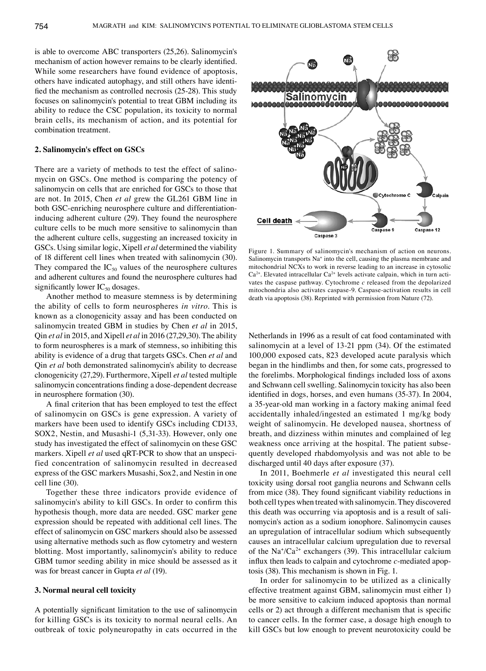is able to overcome ABC transporters (25,26). Salinomycin's mechanism of action however remains to be clearly identified. While some researchers have found evidence of apoptosis, others have indicated autophagy, and still others have identified the mechanism as controlled necrosis (25-28). This study focuses on salinomycin's potential to treat GBM including its ability to reduce the CSC population, its toxicity to normal brain cells, its mechanism of action, and its potential for combination treatment.

## **2. Salinomycin's effect on GSCs**

There are a variety of methods to test the effect of salinomycin on GSCs. One method is comparing the potency of salinomycin on cells that are enriched for GSCs to those that are not. In 2015, Chen *et al* grew the GL261 GBM line in both GSC-enriching neurosphere culture and differentiationinducing adherent culture (29). They found the neurosphere culture cells to be much more sensitive to salinomycin than the adherent culture cells, suggesting an increased toxicity in GSCs. Using similar logic, Xipell *et al* determined the viability of 18 different cell lines when treated with salinomycin (30). They compared the  $IC_{50}$  values of the neurosphere cultures and adherent cultures and found the neurosphere cultures had significantly lower  $IC_{50}$  dosages.

Another method to measure stemness is by determining the ability of cells to form neurospheres *in vitro*. This is known as a clonogenicity assay and has been conducted on salinomycin treated GBM in studies by Chen *et al* in 2015, Qin *et al* in 2015, and Xipell *et al* in 2016 (27,29,30). The ability to form neurospheres is a mark of stemness, so inhibiting this ability is evidence of a drug that targets GSCs. Chen *et al* and Qin *et al* both demonstrated salinomycin's ability to decrease clonogenicity (27,29). Furthermore, Xipell *et al* tested multiple salinomycin concentrations finding a dose-dependent decrease in neurosphere formation (30).

A final criterion that has been employed to test the effect of salinomycin on GSCs is gene expression. A variety of markers have been used to identify GSCs including CD133, SOX2, Nestin, and Musashi-1 (5,31-33). However, only one study has investigated the effect of salinomycin on these GSC markers. Xipell *et al* used qRT-PCR to show that an unspecified concentration of salinomycin resulted in decreased express of the GSC markers Musashi, Sox2, and Nestin in one cell line (30).

Together these three indicators provide evidence of salinomycin's ability to kill GSCs. In order to confirm this hypothesis though, more data are needed. GSC marker gene expression should be repeated with additional cell lines. The effect of salinomycin on GSC markers should also be assessed using alternative methods such as flow cytometry and western blotting. Most importantly, salinomycin's ability to reduce GBM tumor seeding ability in mice should be assessed as it was for breast cancer in Gupta *et al* (19).

## **3. Normal neural cell toxicity**

A potentially significant limitation to the use of salinomycin for killing GSCs is its toxicity to normal neural cells. An outbreak of toxic polyneuropathy in cats occurred in the



Figure 1. Summary of salinomycin's mechanism of action on neurons. Salinomycin transports Na<sup>+</sup> into the cell, causing the plasma membrane and mitochondrial NCXs to work in reverse leading to an increase in cytosolic  $Ca<sup>2+</sup>$ . Elevated intracellular  $Ca<sup>2+</sup>$  levels activate calpain, which in turn activates the caspase pathway. Cytochrome *c* released from the depolarized mitochondria also activates caspase-9. Caspase-activation results in cell death via apoptosis (38). Reprinted with permission from Nature (72).

Netherlands in 1996 as a result of cat food contaminated with salinomycin at a level of 13-21 ppm (34). Of the estimated 100,000 exposed cats, 823 developed acute paralysis which began in the hindlimbs and then, for some cats, progressed to the forelimbs. Morphological findings included loss of axons and Schwann cell swelling. Salinomycin toxicity has also been identified in dogs, horses, and even humans (35-37). In 2004, a 35-year-old man working in a factory making animal feed accidentally inhaled/ingested an estimated 1 mg/kg body weight of salinomycin. He developed nausea, shortness of breath, and dizziness within minutes and complained of leg weakness once arriving at the hospital. The patient subsequently developed rhabdomyolysis and was not able to be discharged until 40 days after exposure (37).

In 2011, Boehmerle *et al* investigated this neural cell toxicity using dorsal root ganglia neurons and Schwann cells from mice (38). They found significant viability reductions in both cell types when treated with salinomycin. They discovered this death was occurring via apoptosis and is a result of salinomycin's action as a sodium ionophore. Salinomycin causes an upregulation of intracellular sodium which subsequently causes an intracellular calcium upregulation due to reversal of the  $\text{Na}^{\text{+}}/\text{Ca}^{\text{2+}}$  exchangers (39). This intracellular calcium influx then leads to calpain and cytochrome *c*-mediated apoptosis (38). This mechanism is shown in Fig. 1.

In order for salinomycin to be utilized as a clinically effective treatment against GBM, salinomycin must either 1) be more sensitive to calcium induced apoptosis than normal cells or 2) act through a different mechanism that is specific to cancer cells. In the former case, a dosage high enough to kill GSCs but low enough to prevent neurotoxicity could be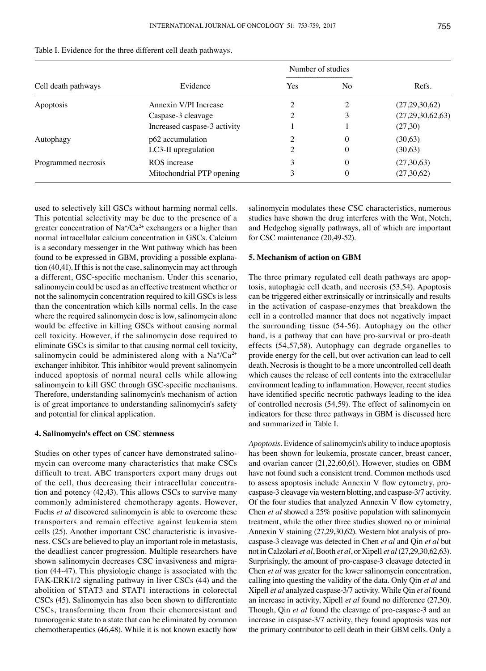| Cell death pathways | Evidence                     | Number of studies |          |                  |
|---------------------|------------------------------|-------------------|----------|------------------|
|                     |                              | Yes               | No       | Refs.            |
| Apoptosis           | Annexin V/PI Increase        |                   |          | (27,29,30,62)    |
|                     | Caspase-3 cleavage           |                   | 3        | (27,29,30,62,63) |
|                     | Increased caspase-3 activity |                   |          | (27,30)          |
| Autophagy           | p62 accumulation             | 2                 | $\Omega$ | (30,63)          |
|                     | LC3-II upregulation          | 2                 | 0        | (30,63)          |
| Programmed necrosis | ROS increase                 | 3                 | $\theta$ | (27,30,63)       |
|                     | Mitochondrial PTP opening    | 3                 | $\theta$ | (27,30,62)       |

Table I. Evidence for the three different cell death pathways.

used to selectively kill GSCs without harming normal cells. This potential selectivity may be due to the presence of a greater concentration of  $\text{Na}^+\text{/Ca}^2$ + exchangers or a higher than normal intracellular calcium concentration in GSCs. Calcium is a secondary messenger in the Wnt pathway which has been found to be expressed in GBM, providing a possible explanation (40,41). If this is not the case, salinomycin may act through a different, GSC-specific mechanism. Under this scenario, salinomycin could be used as an effective treatment whether or not the salinomycin concentration required to kill GSCs is less than the concentration which kills normal cells. In the case where the required salinomycin dose is low, salinomycin alone would be effective in killing GSCs without causing normal cell toxicity. However, if the salinomycin dose required to eliminate GSCs is similar to that causing normal cell toxicity, salinomycin could be administered along with a  $Na^{\ast}/Ca^{2\ast}$ exchanger inhibitor. This inhibitor would prevent salinomycin induced apoptosis of normal neural cells while allowing salinomycin to kill GSC through GSC-specific mechanisms. Therefore, understanding salinomycin's mechanism of action is of great importance to understanding salinomycin's safety and potential for clinical application.

# **4. Salinomycin's effect on CSC stemness**

Studies on other types of cancer have demonstrated salinomycin can overcome many characteristics that make CSCs difficult to treat. ABC transporters export many drugs out of the cell, thus decreasing their intracellular concentration and potency (42,43). This allows CSCs to survive many commonly administered chemotherapy agents. However, Fuchs *et al* discovered salinomycin is able to overcome these transporters and remain effective against leukemia stem cells (25). Another important CSC characteristic is invasiveness. CSCs are believed to play an important role in metastasis, the deadliest cancer progression. Multiple researchers have shown salinomycin decreases CSC invasiveness and migration (44-47). This physiologic change is associated with the FAK-ERK1/2 signaling pathway in liver CSCs (44) and the abolition of STAT3 and STAT1 interactions in colorectal CSCs (45). Salinomycin has also been shown to differentiate CSCs, transforming them from their chemoresistant and tumorogenic state to a state that can be eliminated by common chemotherapeutics (46,48). While it is not known exactly how salinomycin modulates these CSC characteristics, numerous studies have shown the drug interferes with the Wnt, Notch, and Hedgehog signally pathways, all of which are important for CSC maintenance (20,49-52).

## **5. Mechanism of action on GBM**

The three primary regulated cell death pathways are apoptosis, autophagic cell death, and necrosis (53,54). Apoptosis can be triggered either extrinsically or intrinsically and results in the activation of caspase-enzymes that breakdown the cell in a controlled manner that does not negatively impact the surrounding tissue (54-56). Autophagy on the other hand, is a pathway that can have pro-survival or pro-death effects (54,57,58). Autophagy can degrade organelles to provide energy for the cell, but over activation can lead to cell death. Necrosis is thought to be a more uncontrolled cell death which causes the release of cell contents into the extracellular environment leading to inflammation. However, recent studies have identified specific necrotic pathways leading to the idea of controlled necrosis (54,59). The effect of salinomycin on indicators for these three pathways in GBM is discussed here and summarized in Table I.

*Apoptosis.* Evidence of salinomycin's ability to induce apoptosis has been shown for leukemia, prostate cancer, breast cancer, and ovarian cancer (21,22,60,61). However, studies on GBM have not found such a consistent trend. Common methods used to assess apoptosis include Annexin V flow cytometry, procaspase-3 cleavage via western blotting, and caspase-3/7 activity. Of the four studies that analyzed Annexin V flow cytometry, Chen *et al* showed a 25% positive population with salinomycin treatment, while the other three studies showed no or minimal Annexin V staining (27,29,30,62). Western blot analysis of procaspase-3 cleavage was detected in Chen *et al* and Qin *et al* but not in Calzolari *et al*, Booth *et al*, or Xipell *et al* (27,29,30,62,63). Surprisingly, the amount of pro-caspase-3 cleavage detected in Chen *et al* was greater for the lower salinomycin concentration, calling into questing the validity of the data. Only Qin *et al* and Xipell *et al* analyzed caspase-3/7 activity. While Qin *et al* found an increase in activity, Xipell *et al* found no difference (27,30). Though, Qin *et al* found the cleavage of pro-caspase-3 and an increase in caspase-3/7 activity, they found apoptosis was not the primary contributor to cell death in their GBM cells. Only a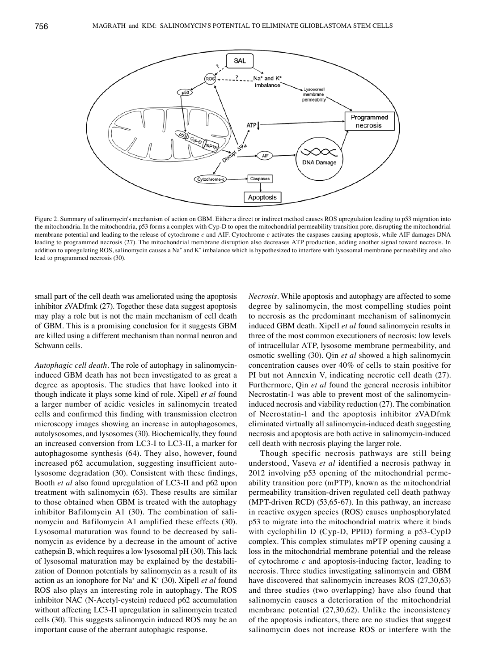

Figure 2. Summary of salinomycin's mechanism of action on GBM. Either a direct or indirect method causes ROS upregulation leading to p53 migration into the mitochondria. In the mitochondria, p53 forms a complex with Cyp-D to open the mitochondrial permeability transition pore, disrupting the mitochondrial membrane potential and leading to the release of cytochrome *c* and AIF. Cytochrome *c* activates the caspases causing apoptosis, while AIF damages DNA leading to programmed necrosis (27). The mitochondrial membrane disruption also decreases ATP production, adding another signal toward necrosis. In addition to upregulating ROS, salinomycin causes a Na\* and K\* imbalance which is hypothesized to interfere with lysosomal membrane permeability and also lead to programmed necrosis (30).

small part of the cell death was ameliorated using the apoptosis inhibitor zVADfmk (27). Together these data suggest apoptosis may play a role but is not the main mechanism of cell death of GBM. This is a promising conclusion for it suggests GBM are killed using a different mechanism than normal neuron and Schwann cells.

*Autophagic cell death.* The role of autophagy in salinomycininduced GBM death has not been investigated to as great a degree as apoptosis. The studies that have looked into it though indicate it plays some kind of role. Xipell *et al* found a larger number of acidic vesicles in salinomycin treated cells and confirmed this finding with transmission electron microscopy images showing an increase in autophagosomes, autolysosomes, and lysosomes (30). Biochemically, they found an increased conversion from LC3-I to LC3-II, a marker for autophagosome synthesis (64). They also, however, found increased p62 accumulation, suggesting insufficient autolysosome degradation (30). Consistent with these findings, Booth *et al* also found upregulation of LC3-II and p62 upon treatment with salinomycin (63). These results are similar to those obtained when GBM is treated with the autophagy inhibitor Bafilomycin A1 (30). The combination of salinomycin and Bafilomycin A1 amplified these effects (30). Lysosomal maturation was found to be decreased by salinomycin as evidence by a decrease in the amount of active cathepsin B, which requires a low lysosomal pH (30). This lack of lysosomal maturation may be explained by the destabilization of Donnon potentials by salinomycin as a result of its action as an ionophore for Na+ and K+ (30). Xipell *et al* found ROS also plays an interesting role in autophagy. The ROS inhibitor NAC (N-Acetyl-cystein) reduced p62 accumulation without affecting LC3-II upregulation in salinomycin treated cells (30). This suggests salinomycin induced ROS may be an important cause of the aberrant autophagic response.

*Necrosis.* While apoptosis and autophagy are affected to some degree by salinomycin, the most compelling studies point to necrosis as the predominant mechanism of salinomycin induced GBM death. Xipell *et al* found salinomycin results in three of the most common executioners of necrosis: low levels of intracellular ATP, lysosome membrane permeability, and osmotic swelling (30). Qin *et al* showed a high salinomycin concentration causes over 40% of cells to stain positive for PI but not Annexin V, indicating necrotic cell death (27). Furthermore, Qin *et al* found the general necrosis inhibitor Necrostatin-1 was able to prevent most of the salinomycininduced necrosis and viability reduction (27). The combination of Necrostatin-1 and the apoptosis inhibitor zVADfmk eliminated virtually all salinomycin-induced death suggesting necrosis and apoptosis are both active in salinomycin-induced cell death with necrosis playing the larger role.

Though specific necrosis pathways are still being understood, Vaseva *et al* identified a necrosis pathway in 2012 involving p53 opening of the mitochondrial permeability transition pore (mPTP), known as the mitochondrial permeability transition-driven regulated cell death pathway (MPT-driven RCD) (53,65-67). In this pathway, an increase in reactive oxygen species (ROS) causes unphosphorylated p53 to migrate into the mitochondrial matrix where it binds with cyclophilin D (Cyp-D, PPID) forming a p53-CypD complex. This complex stimulates mPTP opening causing a loss in the mitochondrial membrane potential and the release of cytochrome *c* and apoptosis-inducing factor, leading to necrosis. Three studies investigating salinomycin and GBM have discovered that salinomycin increases ROS (27,30,63) and three studies (two overlapping) have also found that salinomycin causes a deterioration of the mitochondrial membrane potential (27,30,62). Unlike the inconsistency of the apoptosis indicators, there are no studies that suggest salinomycin does not increase ROS or interfere with the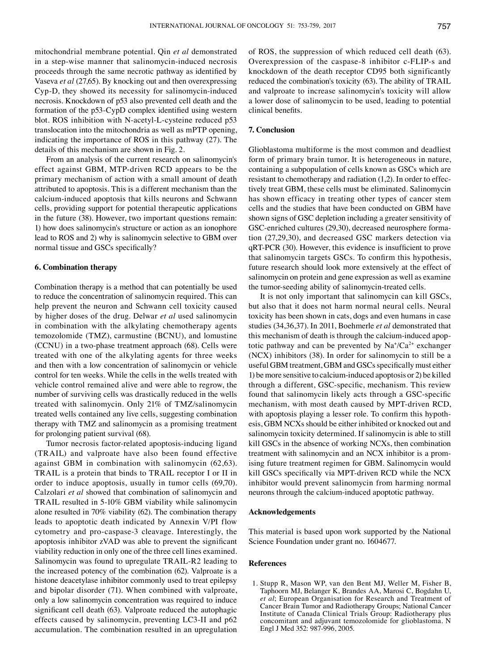mitochondrial membrane potential. Qin *et al* demonstrated in a step-wise manner that salinomycin-induced necrosis proceeds through the same necrotic pathway as identified by Vaseva *et al* (27,65). By knocking out and then overexpressing Cyp-D, they showed its necessity for salinomycin-induced necrosis. Knockdown of p53 also prevented cell death and the formation of the p53-CypD complex identified using western blot. ROS inhibition with N-acetyl-L-cysteine reduced p53 translocation into the mitochondria as well as mPTP opening, indicating the importance of ROS in this pathway (27). The details of this mechanism are shown in Fig. 2.

From an analysis of the current research on salinomycin's effect against GBM, MTP-driven RCD appears to be the primary mechanism of action with a small amount of death attributed to apoptosis. This is a different mechanism than the calcium-induced apoptosis that kills neurons and Schwann cells, providing support for potential therapeutic applications in the future (38). However, two important questions remain: 1) how does salinomycin's structure or action as an ionophore lead to ROS and 2) why is salinomycin selective to GBM over normal tissue and GSCs specifically?

#### **6. Combination therapy**

Combination therapy is a method that can potentially be used to reduce the concentration of salinomycin required. This can help prevent the neuron and Schwann cell toxicity caused by higher doses of the drug. Delwar *et al* used salinomycin in combination with the alkylating chemotherapy agents temozolomide (TMZ), carmustine (BCNU), and lomustine (CCNU) in a two-phase treatment approach (68). Cells were treated with one of the alkylating agents for three weeks and then with a low concentration of salinomycin or vehicle control for ten weeks. While the cells in the wells treated with vehicle control remained alive and were able to regrow, the number of surviving cells was drastically reduced in the wells treated with salinomycin. Only 21% of TMZ/salinomycin treated wells contained any live cells, suggesting combination therapy with TMZ and salinomycin as a promising treatment for prolonging patient survival (68).

Tumor necrosis factor-related apoptosis-inducing ligand (TRAIL) and valproate have also been found effective against GBM in combination with salinomycin (62,63). TRAIL is a protein that binds to TRAIL receptor I or II in order to induce apoptosis, usually in tumor cells (69,70). Calzolari *et al* showed that combination of salinomycin and TRAIL resulted in 5-10% GBM viability while salinomycin alone resulted in 70% viability (62). The combination therapy leads to apoptotic death indicated by Annexin V/PI flow cytometry and pro-caspase-3 cleavage. Interestingly, the apoptosis inhibitor zVAD was able to prevent the significant viability reduction in only one of the three cell lines examined. Salinomycin was found to upregulate TRAIL-R2 leading to the increased potency of the combination (62). Valproate is a histone deacetylase inhibitor commonly used to treat epilepsy and bipolar disorder (71). When combined with valproate, only a low salinomycin concentration was required to induce significant cell death (63). Valproate reduced the autophagic effects caused by salinomycin, preventing LC3-II and p62 accumulation. The combination resulted in an upregulation of ROS, the suppression of which reduced cell death (63). Overexpression of the caspase-8 inhibitor c-FLIP-s and knockdown of the death receptor CD95 both significantly reduced the combination's toxicity (63). The ability of TRAIL and valproate to increase salinomycin's toxicity will allow a lower dose of salinomycin to be used, leading to potential clinical benefits.

## **7. Conclusion**

Glioblastoma multiforme is the most common and deadliest form of primary brain tumor. It is heterogeneous in nature, containing a subpopulation of cells known as GSCs which are resistant to chemotherapy and radiation (1,2). In order to effectively treat GBM, these cells must be eliminated. Salinomycin has shown efficacy in treating other types of cancer stem cells and the studies that have been conducted on GBM have shown signs of GSC depletion including a greater sensitivity of GSC-enriched cultures (29,30), decreased neurosphere formation (27,29,30), and decreased GSC markers detection via qRT-PCR (30). However, this evidence is insufficient to prove that salinomycin targets GSCs. To confirm this hypothesis, future research should look more extensively at the effect of salinomycin on protein and gene expression as well as examine the tumor-seeding ability of salinomycin-treated cells.

It is not only important that salinomycin can kill GSCs, but also that it does not harm normal neural cells. Neural toxicity has been shown in cats, dogs and even humans in case studies (34,36,37). In 2011, Boehmerle *et al* demonstrated that this mechanism of death is through the calcium-induced apoptotic pathway and can be prevented by  $\text{Na}^{\dagger}/\text{Ca}^{2+}$  exchanger (NCX) inhibitors (38). In order for salinomycin to still be a useful GBM treatment, GBM and GSCs specifically must either 1) be more sensitive to calcium-induced apoptosis or 2) be killed through a different, GSC-specific, mechanism. This review found that salinomycin likely acts through a GSC-specific mechanism, with most death caused by MPT-driven RCD, with apoptosis playing a lesser role. To confirm this hypothesis, GBM NCXs should be either inhibited or knocked out and salinomycin toxicity determined. If salinomycin is able to still kill GSCs in the absence of working NCXs, then combination treatment with salinomycin and an NCX inhibitor is a promising future treatment regimen for GBM. Salinomycin would kill GSCs specifically via MPT-driven RCD while the NCX inhibitor would prevent salinomycin from harming normal neurons through the calcium-induced apoptotic pathway.

#### **Acknowledgements**

This material is based upon work supported by the National Science Foundation under grant no. 1604677.

#### **References**

1. Stupp R, Mason WP, van den Bent MJ, Weller M, Fisher B, Taphoorn MJ, Belanger K, Brandes AA, Marosi C, Bogdahn U, *et al*; European Organisation for Research and Treatment of Cancer Brain Tumor and Radiotherapy Groups; National Cancer Institute of Canada Clinical Trials Group: Radiotherapy plus concomitant and adjuvant temozolomide for glioblastoma. N Engl J Med 352: 987-996, 2005.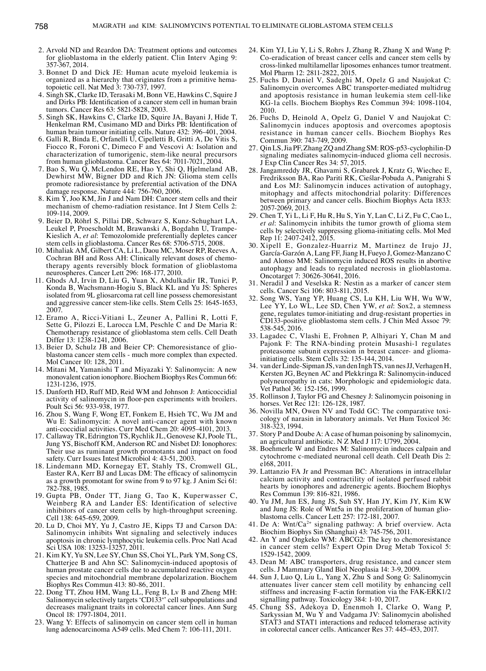- 2. Arvold ND and Reardon DA: Treatment options and outcomes for glioblastoma in the elderly patient. Clin Interv Aging 9: 357-367, 2014.
- 3. Bonnet D and Dick JE: Human acute myeloid leukemia is organized as a hierarchy that originates from a primitive hematopoietic cell. Nat Med 3: 730-737, 1997.
- 4. Singh SK, Clarke ID, Terasaki M, Bonn VE, Hawkins C, Squire J and Dirks PB: Identification of a cancer stem cell in human brain tumors. Cancer Res 63: 5821-5828, 2003.
- 5. Singh SK, Hawkins C, Clarke ID, Squire JA, Bayani J, Hide T, Henkelman RM, Cusimano MD and Dirks PB: Identification of human brain tumour initiating cells. Nature 432: 396-401, 2004.
- 6. Galli R, Binda E, Orfanelli U, Cipelletti B, Gritti A, De Vitis S, Fiocco R, Foroni C, Dimeco F and Vescovi A: Isolation and characterization of tumorigenic, stem-like neural precursors from human glioblastoma. Cancer Res 64: 7011-7021, 2004.
- 7. Bao S, Wu Q, McLendon RE, Hao Y, Shi Q, Hjelmeland AB, Dewhirst MW, Bigner DD and Rich JN: Glioma stem cells promote radioresistance by preferential activation of the DNA damage response. Nature 444: 756-760, 2006.
- 8. Kim Y, Joo KM, Jin J and Nam DH: Cancer stem cells and their mechanism of chemo-radiation resistance. Int J Stem Cells 2: 109-114, 2009.
- 9. Beier D, Röhrl S, Pillai DR, Schwarz S, Kunz-Schughart LA, Leukel P, Proescholdt M, Brawanski A, Bogdahn U, Trampe-Kieslich A, *et al*: Temozolomide preferentially depletes cancer stem cells in glioblastoma. Cancer Res 68: 5706-5715, 2008.
- 10. Mihaliak AM, Gilbert CA, Li L, Daou MC, Moser RP, Reeves A, Cochran BH and Ross AH: Clinically relevant doses of chemotherapy agents reversibly block formation of glioblastoma neurospheres. Cancer Lett 296: 168-177, 2010.
- 11. Ghods AJ, Irvin D, Liu G, Yuan X, Abdulkadir IR, Tunici P, Konda B, Wachsmann-Hogiu S, Black KL and Yu JS: Spheres isolated from 9L gliosarcoma rat cell line possess chemoresistant and aggressive cancer stem-like cells. Stem Cells 25: 1645-1653, 2007.
- 12. Eramo A, Ricci-Vitiani L, Zeuner A, Pallini R, Lotti F, Sette G, Pilozzi E, Larocca LM, Peschle C and De Maria R: Chemotherapy resistance of glioblastoma stem cells. Cell Death Differ 13: 1238-1241, 2006.
- 13. Beier D, Schulz JB and Beier CP: Chemoresistance of glioblastoma cancer stem cells - much more complex than expected. Mol Cancer 10: 128, 2011.
- 14. Mitani M, Yamanishi T and Miyazaki Y: Salinomycin: A new monovalent cation ionophore. Biochem Biophys Res Commun 66: 1231-1236, 1975.
- 15. Danforth HD, Ruff MD, Reid WM and Johnson J: Anticoccidial activity of salinomycin in floor-pen experiments with broilers. Poult Sci 56: 933-938, 1977.
- 16. Zhou S, Wang F, Wong ET, Fonkem E, Hsieh TC, Wu JM and Wu E: Salinomycin: A novel anti-cancer agent with known anti-coccidial activities. Curr Med Chem 20: 4095-4101, 2013.
- 17. Callaway TR, Edrington TS, Rychlik JL, Genovese KJ, Poole TL, Jung YS, Bischoff KM, Anderson RC and Nisbet DJ: Ionophores: Their use as ruminant growth promotants and impact on food safety. Curr Issues Intest Microbiol 4: 43-51, 2003.
- 18. Lindemann MD, Kornegay ET, Stahly TS, Cromwell GL, Easter RA, Kerr BJ and Lucas DM: The efficacy of salinomycin as a growth promotant for swine from 9 to 97 kg. J Anim Sci 61: 782-788, 1985.
- 19. Gupta PB, Onder TT, Jiang G, Tao K, Kuperwasser C, Weinberg RA and Lander ES: Identification of selective inhibitors of cancer stem cells by high-throughput screening. Cell 138: 645-659, 2009.
- 20. Lu D, Choi MY, Yu J, Castro JE, Kipps TJ and Carson DA: Salinomycin inhibits Wnt signaling and selectively induces apoptosis in chronic lymphocytic leukemia cells. Proc Natl Acad Sci USA 108: 13253-13257, 2011.
- 21. Kim KY, Yu SN, Lee SY, Chun SS, Choi YL, Park YM, Song CS, Chatterjee B and Ahn SC: Salinomycin-induced apoptosis of human prostate cancer cells due to accumulated reactive oxygen species and mitochondrial membrane depolarization. Biochem Biophys Res Commun 413: 80-86, 2011.
- 22. Dong TT, Zhou HM, Wang LL, Feng B, Lv B and Zheng MH: Salinomycin selectively targets 'CD133+' cell subpopulations and decreases malignant traits in colorectal cancer lines. Ann Surg Oncol 18: 1797-1804, 2011.
- 23. Wang Y: Effects of salinomycin on cancer stem cell in human lung adenocarcinoma A549 cells. Med Chem 7: 106-111, 2011.
- 24. Kim YJ, Liu Y, Li S, Rohrs J, Zhang R, Zhang X and Wang P: Co-eradication of breast cancer cells and cancer stem cells by cross-linked multilamellar liposomes enhances tumor treatment. Mol Pharm 12: 2811-2822, 2015.
- 25. Fuchs D, Daniel V, Sadeghi M, Opelz G and Naujokat C: Salinomycin overcomes ABC transporter-mediated multidrug and apoptosis resistance in human leukemia stem cell-like KG-1a cells. Biochem Biophys Res Commun 394: 1098-1104, 2010.
- 26. Fuchs D, Heinold A, Opelz G, Daniel V and Naujokat C: Salinomycin induces apoptosis and overcomes apoptosis resistance in human cancer cells. Biochem Biophys Res Commun 390: 743-749, 2009.
- 27. Qin LS, Jia PF, Zhang ZQ and Zhang SM: ROS-p53-cyclophilin-D signaling mediates salinomycin-induced glioma cell necrosis. J Exp Clin Cancer Res 34: 57, 2015.
- 28. Jangamreddy JR, Ghavami S, Grabarek J, Kratz G, Wiechec E, Fredriksson BA, Rao Pariti RK, Cieślar-Pobuda A, Panigrahi S and Łos MJ: Salinomycin induces activation of autophagy, mitophagy and affects mitochondrial polarity: Differences between primary and cancer cells. Biochim Biophys Acta 1833: 2057-2069, 2013.
- 29. Chen T, Yi L, Li F, Hu R, Hu S, Yin Y, Lan C, Li Z, Fu C, Cao L, *et al*: Salinomycin inhibits the tumor growth of glioma stem cells by selectively suppressing glioma-initiating cells. Mol Med Rep 11: 2407-2412, 2015.
- 30. Xipell E, Gonzalez-Huarriz M, Martinez de Irujo JJ, García‑Garzón A, Lang FF, Jiang H, Fueyo J, Gomez-Manzano C and Alonso MM: Salinomycin induced ROS results in abortive autophagy and leads to regulated necrosis in glioblastoma. Oncotarget 7: 30626-30641, 2016.
- 31. Neradil J and Veselska R: Nestin as a marker of cancer stem cells. Cancer Sci 106: 803-811, 2015.
- 32. Song WS, Yang YP, Huang CS, Lu KH, Liu WH, Wu WW, Lee YY, Lo WL, Lee SD, Chen YW, *et al*: Sox2, a stemness gene, regulates tumor-initiating and drug-resistant properties in CD133-positive glioblastoma stem cells. J Chin Med Assoc 79: 538-545, 2016.
- 33. Lagadec C, Vlashi E, Frohnen P, Alhiyari Y, Chan M and Pajonk F: The RNA-binding protein Musashi-1 regulates proteasome subunit expression in breast cancer- and gliomainitiating cells. Stem Cells 32: 135-144, 2014.
- 34. van der Linde-Sipman JS, van den Ingh TS, van nes JJ, VerhagenH, Kersten JG, Beynen AC and Plekkringa R: Salinomycin-induced polyneuropathy in cats: Morphologic and epidemiologic data. Vet Pathol 36: 152-156, 1999.
- 35. Rollinson J, Taylor FG and Chesney J: Salinomycin poisoning in horses. Vet Rec 121: 126-128, 1987.
- 36. Novilla MN, Owen NV and Todd GC: The comparative toxicology of narasin in laboratory animals. Vet Hum Toxicol 36: 318-323, 1994.
- 37. Story P and Doube A: A case of human poisoning by salinomycin, an agricultural antibiotic. N Z Med J 117: U799, 2004.
- 38. Boehmerle W and Endres M: Salinomycin induces calpain and cytochrome c-mediated neuronal cell death. Cell Death Dis 2: e168, 2011.
- 39. Lattanzio FA Jr and Pressman BC: Alterations in intracellular calcium activity and contractility of isolated perfused rabbit hearts by ionophores and adrenergic agents. Biochem Biophys Res Commun 139: 816-821, 1986.
- 40. Yu JM, Jun ES, Jung JS, Suh SY, Han JY, Kim JY, Kim KW and Jung JS: Role of Wnt5a in the proliferation of human glioblastoma cells. Cancer Lett 257: 172-181, 2007.
- 41. De A: Wnt/Ca<sup>2+</sup> signaling pathway: A brief overview. Acta Biochim Biophys Sin (Shanghai) 43: 745-756, 2011.
- 42. An Y and Ongkeko WM: ABCG2: The key to chemoresistance in cancer stem cells? Expert Opin Drug Metab Toxicol 5: 1529-1542, 2009.
- 43. Dean M: ABC transporters, drug resistance, and cancer stem cells. J Mammary Gland Biol Neoplasia 14: 3-9, 2009.
- 44. Sun J, Luo Q, Liu L, Yang X, Zhu S and Song G: Salinomycin attenuates liver cancer stem cell motility by enhancing cell stiffness and increasing F-actin formation via the FAK-ERK1/2 signalling pathway. Toxicology 384: 1-10, 2017.
- 45. Chung SS, Adekoya D, Enenmoh I, Clarke O, Wang P, Sarkyssian M, Wu Y and Vadgama JV: Salinomycin abolished STAT3 and STAT1 interactions and reduced telomerase activity in colorectal cancer cells. Anticancer Res 37: 445-453, 2017.